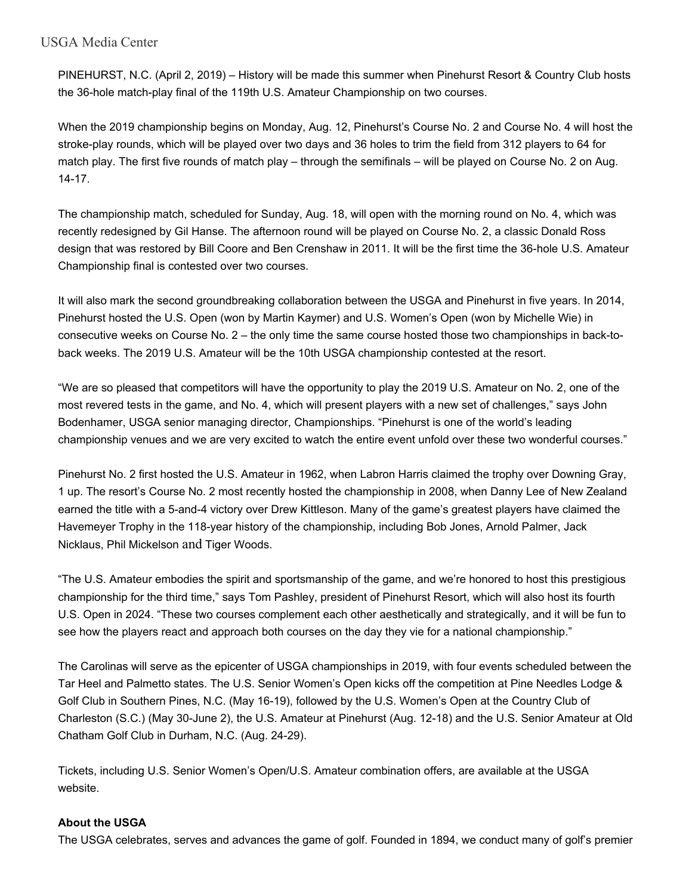## USGA Media Center

PINEHURST, N.C. (April 2, 2019) – History will be made this summer when Pinehurst Resort & Country Club hosts the 36-hole match-play final of the 119th U.S. Amateur Championship on two courses.

When the 2019 championship begins on Monday, Aug. 12, Pinehurst's Course No. 2 and Course No. 4 will host the stroke-play rounds, which will be played over two days and 36 holes to trim the field from 312 players to 64 for match play. The first five rounds of match play – through the semifinals – will be played on Course No. 2 on Aug. 14-17.

The championship match, scheduled for Sunday, Aug. 18, will open with the morning round on No. 4, which was recently redesigned by Gil Hanse. The afternoon round will be played on Course No. 2, a classic Donald Ross design that was restored by Bill Coore and Ben Crenshaw in 2011. It will be the first time the 36-hole U.S. Amateur Championship final is contested over two courses.

It will also mark the second groundbreaking collaboration between the USGA and Pinehurst in five years. In 2014, Pinehurst hosted the U.S. Open (won by Martin Kaymer) and U.S. Women's Open (won by Michelle Wie) in consecutive weeks on Course No. 2 – the only time the same course hosted those two championships in back-toback weeks. The 2019 U.S. Amateur will be the 10th USGA championship contested at the resort.

"We are so pleased that competitors will have the opportunity to play the 2019 U.S. Amateur on No. 2, one of the most revered tests in the game, and No. 4, which will present players with a new set of challenges," says John Bodenhamer, USGA senior managing director, Championships. "Pinehurst is one of the world's leading championship venues and we are very excited to watch the entire event unfold over these two wonderful courses."

Pinehurst No. 2 first hosted the U.S. Amateur in 1962, when Labron Harris claimed the trophy over Downing Gray, 1 up. The resort's Course No. 2 most recently hosted the championship in 2008, when Danny Lee of New Zealand earned the title with a 5-and-4 victory over Drew Kittleson. Many of the game's greatest players have claimed the Havemeyer Trophy in the 118-year history of the championship, including Bob Jones, Arnold Palmer, Jack Nicklaus, Phil Mickelson and Tiger Woods.

"The U.S. Amateur embodies the spirit and sportsmanship of the game, and we're honored to host this prestigious championship for the third time," says Tom Pashley, president of Pinehurst Resort, which will also host its fourth U.S. Open in 2024. "These two courses complement each other aesthetically and strategically, and it will be fun to see how the players react and approach both courses on the day they vie for a national championship."

The Carolinas will serve as the epicenter of USGA championships in 2019, with four events scheduled between the Tar Heel and Palmetto states. The U.S. Senior Women's Open kicks off the competition at Pine Needles Lodge & Golf Club in Southern Pines, N.C. (May 16-19), followed by the U.S. Women's Open at the Country Club of Charleston (S.C.) (May 30-June 2), the U.S. Amateur at Pinehurst (Aug. 12-18) and the U.S. Senior Amateur at Old Chatham Golf Club in Durham, N.C. (Aug. 24-29).

Tickets, including U.S. Senior Women's Open/U.S. Amateur combination offers, are available at the USGA website.

## **About the USGA**

The USGA celebrates, serves and advances the game of golf. Founded in 1894, we conduct many of golf's premier